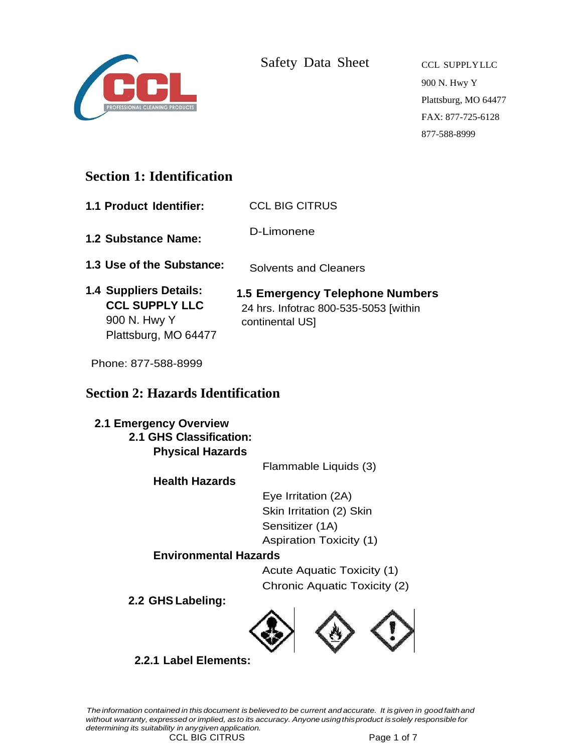

Safety Data Sheet CCL SUPPLYLLC

900 N. Hwy Y Plattsburg, MO 64477 FAX: 877-725-6128 877-588-8999

# **Section 1: Identification**

- **1.1 Product Identifier:** CCL BIG CITRUS
- **1.2 Substance Name:** D-Limonene
- **1.3 Use of the Substance:** Solvents and Cleaners
- **1.4 Suppliers Details: CCL SUPPLY LLC**  900 N. Hwy Y Plattsburg, MO 64477 **1.5 Emergency Telephone Numbers**  24 hrs. Infotrac 800-535-5053 [within continental US]

Phone: 877-588-8999

# **Section 2: Hazards Identification**

#### **2.1 Emergency Overview 2.1 GHS Classification:**

**Physical Hazards**

Flammable Liquids (3)

**Health Hazards**

Eye Irritation (2A) Skin Irritation (2) Skin Sensitizer (1A) Aspiration Toxicity (1)

### **Environmental Hazards**

Acute Aquatic Toxicity (1) Chronic Aquatic Toxicity (2)

**2.2 GHS Labeling:**



### **2.2.1 Label Elements:**

The information contained in this document is believed to be current and accurate. It is given in good faith and *without warranty, expressed or implied, asto its accuracy. Anyone usingthisproduct issolely responsible for determining its suitability in anygiven application.*

CCL BIG CITRUS Page 1 of 7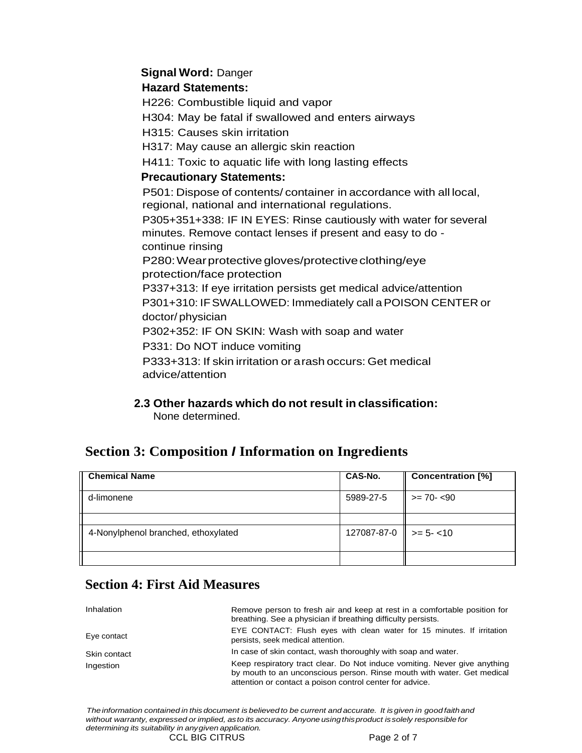### **Signal Word:** Danger

#### **Hazard Statements:**

H226: Combustible liquid and vapor

H304: May be fatal if swallowed and enters airways

H315: Causes skin irritation

H317: May cause an allergic skin reaction

H411: Toxic to aquatic life with long lasting effects

### **Precautionary Statements:**

P501: Dispose of contents/ container in accordance with all local, regional, national and international regulations.

P305+351+338: IF IN EYES: Rinse cautiously with water for several minutes. Remove contact lenses if present and easy to do continue rinsing

P280: Wear protective gloves/protective clothing/eye protection/face protection

P337+313: If eye irritation persists get medical advice/attention P301+310: IFSWALLOWED: Immediately call aPOISON CENTER or doctor/ physician

P302+352: IF ON SKIN: Wash with soap and water

P331: Do NOT induce vomiting

P333+313: If skin irritation or arash occurs: Get medical advice/attention

**2.3 Other hazards which do not result in classification:** None determined.

# **Section 3: Composition** *I* **Information on Ingredients**

| <b>Chemical Name</b>                | CAS-No.                          | <b>Concentration [%]</b> |
|-------------------------------------|----------------------------------|--------------------------|
| d-limonene                          | 5989-27-5                        | $>= 70 - 590$            |
|                                     |                                  |                          |
| 4-Nonylphenol branched, ethoxylated | $127087 - 87 - 0$   > = 5 - < 10 |                          |
|                                     |                                  |                          |

# **Section 4: First Aid Measures**

| Inhalation   | Remove person to fresh air and keep at rest in a comfortable position for<br>breathing. See a physician if breathing difficulty persists.                                                                       |
|--------------|-----------------------------------------------------------------------------------------------------------------------------------------------------------------------------------------------------------------|
| Eye contact  | EYE CONTACT: Flush eyes with clean water for 15 minutes. If irritation<br>persists, seek medical attention.                                                                                                     |
| Skin contact | In case of skin contact, wash thoroughly with soap and water.                                                                                                                                                   |
| Ingestion    | Keep respiratory tract clear. Do Not induce vomiting. Never give anything<br>by mouth to an unconscious person. Rinse mouth with water. Get medical<br>attention or contact a poison control center for advice. |

The information contained in this document is believed to be current and accurate. It is given in good faith and *without warranty, expressed or implied, asto its accuracy. Anyone usingthisproduct issolely responsible for determining its suitability in anygiven application.* CCL BIG CITRUS Page 2 of 7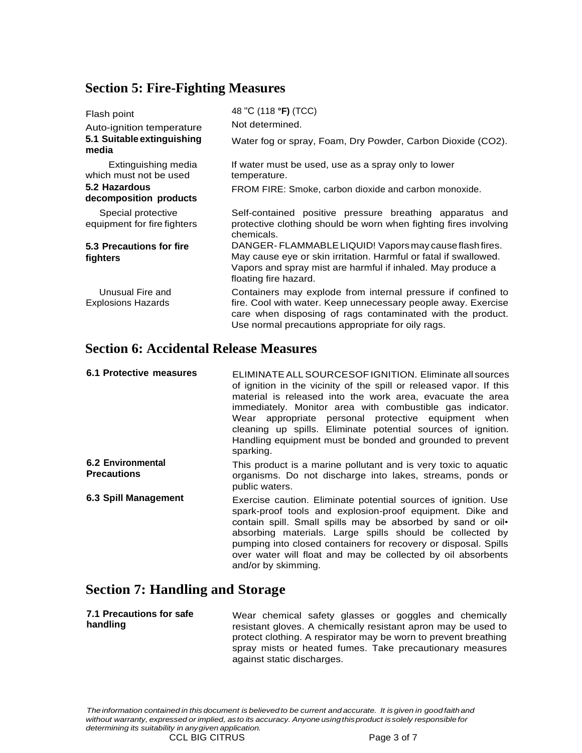### **Section 5: Fire-Fighting Measures**

| Flash point                                       | 48 "C (118 °F) (TCC)                                                                                                                                                                                                                             |
|---------------------------------------------------|--------------------------------------------------------------------------------------------------------------------------------------------------------------------------------------------------------------------------------------------------|
| Auto-ignition temperature                         | Not determined.                                                                                                                                                                                                                                  |
| 5.1 Suitable extinguishing<br>media               | Water fog or spray, Foam, Dry Powder, Carbon Dioxide (CO2).                                                                                                                                                                                      |
| Extinguishing media<br>which must not be used     | If water must be used, use as a spray only to lower<br>temperature.                                                                                                                                                                              |
| 5.2 Hazardous<br>decomposition products           | FROM FIRE: Smoke, carbon dioxide and carbon monoxide.                                                                                                                                                                                            |
| Special protective<br>equipment for fire fighters | Self-contained positive pressure breathing apparatus and<br>protective clothing should be worn when fighting fires involving<br>chemicals.                                                                                                       |
| 5.3 Precautions for fire<br>fighters              | DANGER-FLAMMABLE LIQUID! Vapors may cause flash fires.<br>May cause eye or skin irritation. Harmful or fatal if swallowed.<br>Vapors and spray mist are harmful if inhaled. May produce a<br>floating fire hazard.                               |
| Unusual Fire and<br><b>Explosions Hazards</b>     | Containers may explode from internal pressure if confined to<br>fire. Cool with water. Keep unnecessary people away. Exercise<br>care when disposing of rags contaminated with the product.<br>Use normal precautions appropriate for oily rags. |

# **Section 6: Accidental Release Measures**

| 6.1 Protective measures                 | ELIMINATE ALL SOURCESOF IGNITION. Eliminate all sources<br>of ignition in the vicinity of the spill or released vapor. If this<br>material is released into the work area, evacuate the area<br>immediately. Monitor area with combustible gas indicator.<br>Wear appropriate personal protective equipment when<br>cleaning up spills. Eliminate potential sources of ignition.<br>Handling equipment must be bonded and grounded to prevent<br>sparking. |
|-----------------------------------------|------------------------------------------------------------------------------------------------------------------------------------------------------------------------------------------------------------------------------------------------------------------------------------------------------------------------------------------------------------------------------------------------------------------------------------------------------------|
| 6.2 Environmental<br><b>Precautions</b> | This product is a marine pollutant and is very toxic to aquatic<br>organisms. Do not discharge into lakes, streams, ponds or<br>public waters.                                                                                                                                                                                                                                                                                                             |
| <b>6.3 Spill Management</b>             | Exercise caution. Eliminate potential sources of ignition. Use<br>spark-proof tools and explosion-proof equipment. Dike and<br>contain spill. Small spills may be absorbed by sand or oil.<br>absorbing materials. Large spills should be collected by<br>pumping into closed containers for recovery or disposal. Spills<br>over water will float and may be collected by oil absorbents<br>and/or by skimming.                                           |

### **Section 7: Handling and Storage**

**7.1 Precautions for safe handling** Wear chemical safety glasses or goggles and chemically resistant gloves. A chemically resistant apron may be used to protect clothing. A respirator may be worn to prevent breathing spray mists or heated fumes. Take precautionary measures against static discharges.

The information contained in this document is believed to be current and accurate. It is given in good faith and *without warranty, expressed or implied, asto its accuracy. Anyone usingthisproduct issolely responsible for determining its suitability in anygiven application.*

CCL BIG CITRUS Page 3 of 7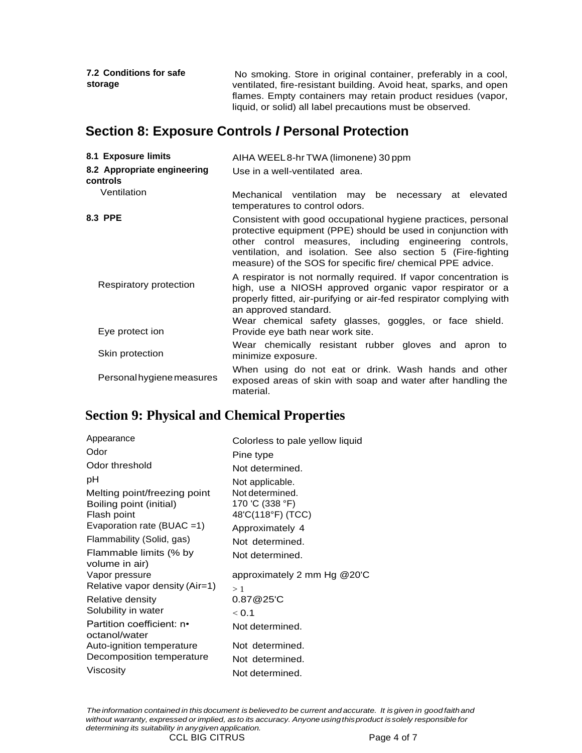| <b>7.2 Conditions for safe</b> | No smoking. Store in original container, preferably in a cool,    |
|--------------------------------|-------------------------------------------------------------------|
| storage                        | ventilated, fire-resistant building. Avoid heat, sparks, and open |
|                                | flames. Empty containers may retain product residues (vapor,      |
|                                | liquid, or solid) all label precautions must be observed.         |

# **Section 8: Exposure Controls** *I* **Personal Protection**

| 8.1 Exposure limits                     | AIHA WEEL8-hr TWA (limonene) 30 ppm                                                                                                                                                                                                                                                                                       |
|-----------------------------------------|---------------------------------------------------------------------------------------------------------------------------------------------------------------------------------------------------------------------------------------------------------------------------------------------------------------------------|
| 8.2 Appropriate engineering<br>controls | Use in a well-ventilated area.                                                                                                                                                                                                                                                                                            |
| Ventilation                             | Mechanical ventilation may be necessary at elevated<br>temperatures to control odors.                                                                                                                                                                                                                                     |
| 8.3 PPE                                 | Consistent with good occupational hygiene practices, personal<br>protective equipment (PPE) should be used in conjunction with<br>other control measures, including engineering controls,<br>ventilation, and isolation. See also section 5 (Fire-fighting<br>measure) of the SOS for specific fire/ chemical PPE advice. |
| Respiratory protection                  | A respirator is not normally required. If vapor concentration is<br>high, use a NIOSH approved organic vapor respirator or a<br>properly fitted, air-purifying or air-fed respirator complying with<br>an approved standard.<br>Wear chemical safety glasses, goggles, or face shield.                                    |
| Eye protect ion                         | Provide eye bath near work site.                                                                                                                                                                                                                                                                                          |
| Skin protection                         | Wear chemically resistant rubber gloves and apron to<br>minimize exposure.                                                                                                                                                                                                                                                |
| Personal hygiene measures               | When using do not eat or drink. Wash hands and other<br>exposed areas of skin with soap and water after handling the<br>material.                                                                                                                                                                                         |

# **Section 9: Physical and Chemical Properties**

| Appearance                                 | Colorless to pale yellow liquid      |
|--------------------------------------------|--------------------------------------|
| Odor                                       | Pine type                            |
| Odor threshold                             | Not determined.                      |
| рH                                         | Not applicable.                      |
| Melting point/freezing point               | Not determined.                      |
| Boiling point (initial)<br>Flash point     | 170 'C (338 °F)<br>48'C(118°F) (TCC) |
| Evaporation rate (BUAC =1)                 | Approximately 4                      |
| Flammability (Solid, gas)                  | Not determined.                      |
| Flammable limits (% by<br>volume in air)   | Not determined.                      |
| Vapor pressure                             | approximately 2 mm Hg $@20$ 'C       |
| Relative vapor density (Air=1)             | >1                                   |
| Relative density                           | 0.87@25'C                            |
| Solubility in water                        | < 0.1                                |
| Partition coefficient: n•<br>octanol/water | Not determined.                      |
| Auto-ignition temperature                  | Not determined.                      |
| Decomposition temperature                  | Not determined.                      |
| Viscosity                                  | Not determined.                      |

The information contained in this document is believed to be current and accurate. It is given in good faith and *without warranty, expressed or implied, asto its accuracy. Anyone usingthisproduct issolely responsible for determining its suitability in anygiven application.* CCL BIG CITRUS Page 4 of 7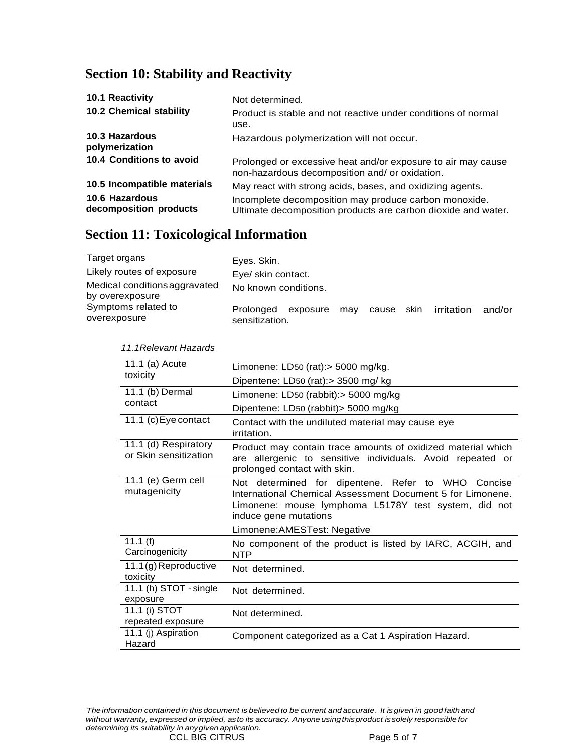# **Section 10: Stability and Reactivity**

| 10.1 Reactivity                          | Not determined.                                                                                                        |
|------------------------------------------|------------------------------------------------------------------------------------------------------------------------|
| 10.2 Chemical stability                  | Product is stable and not reactive under conditions of normal<br>use.                                                  |
| 10.3 Hazardous<br>polymerization         | Hazardous polymerization will not occur.                                                                               |
| 10.4 Conditions to avoid                 | Prolonged or excessive heat and/or exposure to air may cause<br>non-hazardous decomposition and/ or oxidation.         |
| 10.5 Incompatible materials              | May react with strong acids, bases, and oxidizing agents.                                                              |
| 10.6 Hazardous<br>decomposition products | Incomplete decomposition may produce carbon monoxide.<br>Ultimate decomposition products are carbon dioxide and water. |

# **Section 11: Toxicological Information**

| Target organs                                    | Eyes. Skin.                             |     |            |            |        |
|--------------------------------------------------|-----------------------------------------|-----|------------|------------|--------|
| Likely routes of exposure                        | Eye/ skin contact.                      |     |            |            |        |
| Medical conditions aggravated<br>by overexposure | No known conditions.                    |     |            |            |        |
| Symptoms related to<br>overexposure              | Prolonged<br>exposure<br>sensitization. | mav | cause skin | irritation | and/or |

| 11.1 (a) Acute                                | Limonene: LD50 (rat): $>$ 5000 mg/kg.                                                                                                                                                             |  |  |
|-----------------------------------------------|---------------------------------------------------------------------------------------------------------------------------------------------------------------------------------------------------|--|--|
| toxicity                                      | Dipentene: LD50 (rat):> 3500 mg/ kg                                                                                                                                                               |  |  |
| 11.1 (b) Dermal                               | Limonene: LD50 (rabbit): > 5000 mg/kg                                                                                                                                                             |  |  |
| contact                                       | Dipentene: LD50 (rabbit) > 5000 mg/kg                                                                                                                                                             |  |  |
| 11.1 (c) Eye contact                          | Contact with the undiluted material may cause eye<br>irritation.                                                                                                                                  |  |  |
| 11.1 (d) Respiratory<br>or Skin sensitization | Product may contain trace amounts of oxidized material which<br>are allergenic to sensitive individuals. Avoid repeated or<br>prolonged contact with skin.                                        |  |  |
| 11.1 (e) Germ cell<br>mutagenicity            | Not determined for dipentene. Refer to WHO Concise<br>International Chemical Assessment Document 5 for Limonene.<br>Limonene: mouse lymphoma L5178Y test system, did not<br>induce gene mutations |  |  |
|                                               | Limonene: AMESTest: Negative                                                                                                                                                                      |  |  |
| 11.1 $(f)$<br>Carcinogenicity                 | No component of the product is listed by IARC, ACGIH, and<br><b>NTP</b>                                                                                                                           |  |  |
| 11.1(g) Reproductive<br>toxicity              | Not determined.                                                                                                                                                                                   |  |  |
| 11.1 (h) STOT - single<br>exposure            | Not determined.                                                                                                                                                                                   |  |  |
| 11.1 (i) STOT<br>repeated exposure            | Not determined.                                                                                                                                                                                   |  |  |
| 11.1 (j) Aspiration<br>Hazard                 | Component categorized as a Cat 1 Aspiration Hazard.                                                                                                                                               |  |  |
|                                               |                                                                                                                                                                                                   |  |  |

#### *11.1Relevant Hazards*

The information contained in this document is believed to be current and accurate. It is given in good faith and *without warranty, expressed or implied, asto its accuracy. Anyone usingthisproduct issolely responsible for determining its suitability in anygiven application.*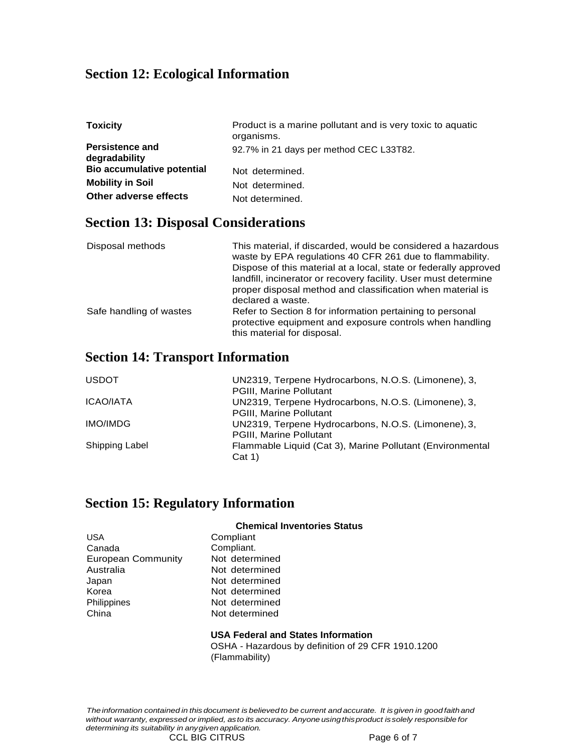### **Section 12: Ecological Information**

| <b>Toxicity</b>                         | Product is a marine pollutant and is very toxic to aquatic<br>organisms. |
|-----------------------------------------|--------------------------------------------------------------------------|
| <b>Persistence and</b><br>degradability | 92.7% in 21 days per method CEC L33T82.                                  |
| <b>Bio accumulative potential</b>       | Not determined.                                                          |
| <b>Mobility in Soil</b>                 | Not determined.                                                          |
| Other adverse effects                   | Not determined.                                                          |

### **Section 13: Disposal Considerations**

| Disposal methods        | This material, if discarded, would be considered a hazardous<br>waste by EPA regulations 40 CFR 261 due to flammability.<br>Dispose of this material at a local, state or federally approved<br>landfill, incinerator or recovery facility. User must determine<br>proper disposal method and classification when material is<br>declared a waste. |
|-------------------------|----------------------------------------------------------------------------------------------------------------------------------------------------------------------------------------------------------------------------------------------------------------------------------------------------------------------------------------------------|
| Safe handling of wastes | Refer to Section 8 for information pertaining to personal<br>protective equipment and exposure controls when handling<br>this material for disposal.                                                                                                                                                                                               |

### **Section 14: Transport Information**

| <b>USDOT</b>   | UN2319, Terpene Hydrocarbons, N.O.S. (Limonene), 3,       |
|----------------|-----------------------------------------------------------|
|                | PGIII, Marine Pollutant                                   |
| ICAO/IATA      | UN2319, Terpene Hydrocarbons, N.O.S. (Limonene), 3,       |
|                | PGIII, Marine Pollutant                                   |
| IMO/IMDG       | UN2319, Terpene Hydrocarbons, N.O.S. (Limonene), 3,       |
|                | PGIII, Marine Pollutant                                   |
| Shipping Label | Flammable Liquid (Cat 3), Marine Pollutant (Environmental |
|                | Cat 1)                                                    |

### **Section 15: Regulatory Information**

| USA                       |  |
|---------------------------|--|
| Canada                    |  |
| <b>European Community</b> |  |
| Australia                 |  |
| Japan                     |  |
| Korea                     |  |
| Philippines               |  |
| China                     |  |

#### **Chemical Inventories Status**

Compliant Compliant. Not determined Not determined Not determined Not determined Not determined Not determined

#### **USA Federal and States Information**

OSHA - Hazardous by definition of 29 CFR 1910.1200 (Flammability)

The information contained in this document is believed to be current and accurate. It is given in good faith and *without warranty, expressed or implied, asto its accuracy. Anyone usingthisproduct issolely responsible for determining its suitability in anygiven application.*

CCL BIG CITRUS Page 6 of 7